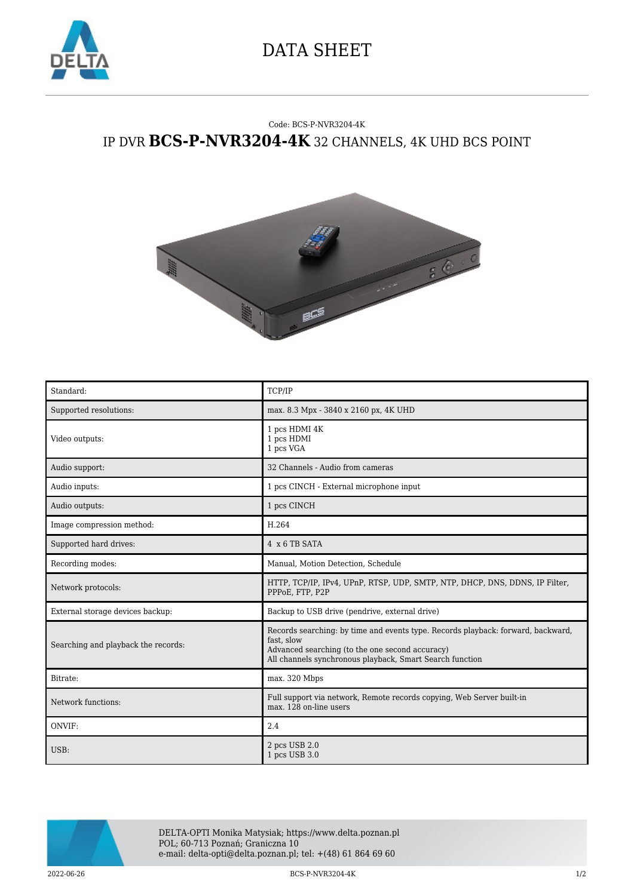

## DATA SHEET

## Code: BCS-P-NVR3204-4K IP DVR **BCS-P-NVR3204-4K** 32 CHANNELS, 4K UHD BCS POINT



| Standard:                           | TCP/IP                                                                                                                                                                                                        |
|-------------------------------------|---------------------------------------------------------------------------------------------------------------------------------------------------------------------------------------------------------------|
| Supported resolutions:              | max. 8.3 Mpx - 3840 x 2160 px, 4K UHD                                                                                                                                                                         |
| Video outputs:                      | 1 pcs HDMI 4K<br>1 pcs HDMI<br>1 pcs VGA                                                                                                                                                                      |
| Audio support:                      | 32 Channels - Audio from cameras                                                                                                                                                                              |
| Audio inputs:                       | 1 pcs CINCH - External microphone input                                                                                                                                                                       |
| Audio outputs:                      | 1 pcs CINCH                                                                                                                                                                                                   |
| Image compression method:           | H.264                                                                                                                                                                                                         |
| Supported hard drives:              | 4 x 6 TB SATA                                                                                                                                                                                                 |
| Recording modes:                    | Manual, Motion Detection, Schedule                                                                                                                                                                            |
| Network protocols:                  | HTTP, TCP/IP, IPv4, UPnP, RTSP, UDP, SMTP, NTP, DHCP, DNS, DDNS, IP Filter,<br>PPPoE, FTP, P2P                                                                                                                |
| External storage devices backup:    | Backup to USB drive (pendrive, external drive)                                                                                                                                                                |
| Searching and playback the records: | Records searching: by time and events type. Records playback: forward, backward,<br>fast, slow<br>Advanced searching (to the one second accuracy)<br>All channels synchronous playback, Smart Search function |
| Bitrate:                            | max. 320 Mbps                                                                                                                                                                                                 |
| Network functions:                  | Full support via network, Remote records copying, Web Server built-in<br>max. 128 on-line users                                                                                                               |
| ONVIF:                              | 2.4                                                                                                                                                                                                           |
| USB:                                | 2 pcs USB 2.0<br>1 pcs USB 3.0                                                                                                                                                                                |



DELTA-OPTI Monika Matysiak; https://www.delta.poznan.pl POL; 60-713 Poznań; Graniczna 10 e-mail: delta-opti@delta.poznan.pl; tel: +(48) 61 864 69 60